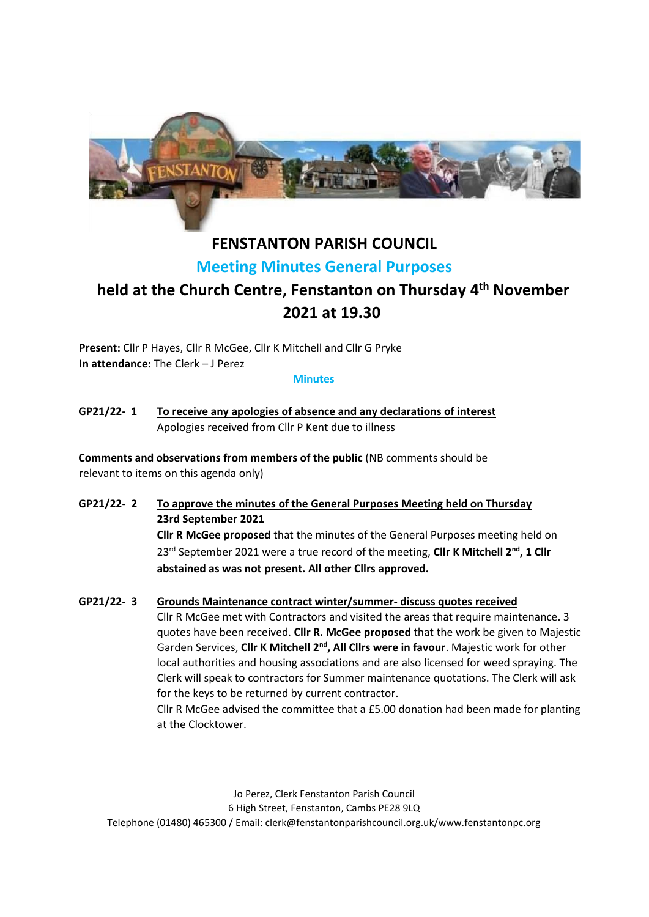

# **FENSTANTON PARISH COUNCIL Meeting Minutes General Purposes**

# **held at the Church Centre, Fenstanton on Thursday 4 th November 2021 at 19.30**

**Present:** Cllr P Hayes, Cllr R McGee, Cllr K Mitchell and Cllr G Pryke **In attendance:** The Clerk – J Perez

**Minutes** 

**GP21/22- 1 To receive any apologies of absence and any declarations of interest** Apologies received from Cllr P Kent due to illness

**Comments and observations from members of the public** (NB comments should be relevant to items on this agenda only)

**GP21/22- 2 To approve the minutes of the General Purposes Meeting held on Thursday 23rd September 2021**

> **Cllr R McGee proposed** that the minutes of the General Purposes meeting held on 23rd September 2021 were a true record of the meeting, **Cllr K Mitchell 2 nd, 1 Cllr abstained as was not present. All other Cllrs approved.**

**GP21/22- 3 Grounds Maintenance contract winter/summer- discuss quotes received**

Cllr R McGee met with Contractors and visited the areas that require maintenance. 3 quotes have been received. **Cllr R. McGee proposed** that the work be given to Majestic Garden Services, **Cllr K Mitchell 2nd, All Cllrs were in favour**. Majestic work for other local authorities and housing associations and are also licensed for weed spraying. The Clerk will speak to contractors for Summer maintenance quotations. The Clerk will ask for the keys to be returned by current contractor.

Cllr R McGee advised the committee that a £5.00 donation had been made for planting at the Clocktower.

Jo Perez, Clerk Fenstanton Parish Council 6 High Street, Fenstanton, Cambs PE28 9LQ Telephone (01480) 465300 / Email: clerk@fenstantonparishcouncil.org.uk/www.fenstantonpc.org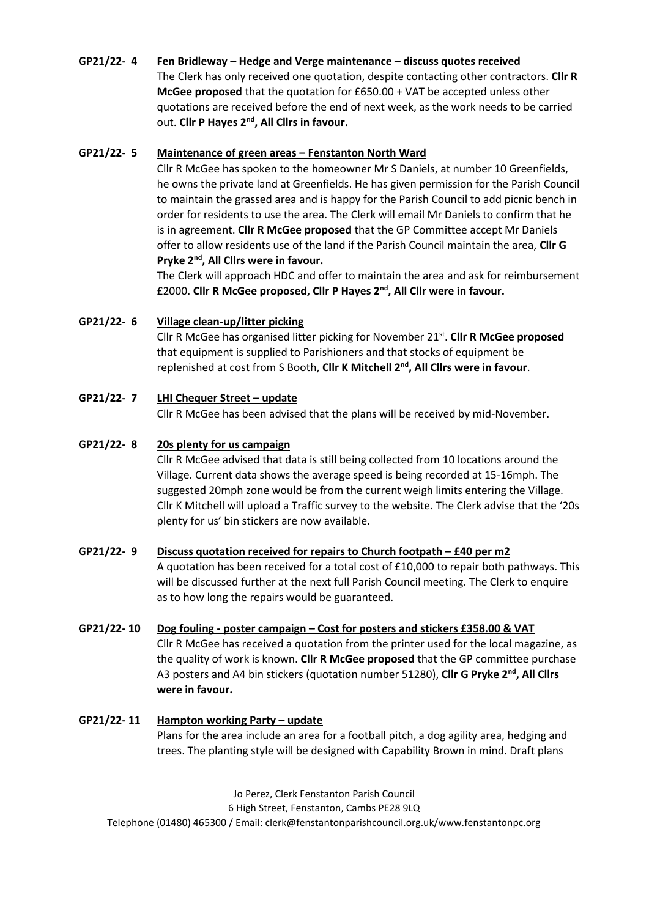# **GP21/22- 4 Fen Bridleway – Hedge and Verge maintenance – discuss quotes received** The Clerk has only received one quotation, despite contacting other contractors. **Cllr R McGee proposed** that the quotation for £650.00 + VAT be accepted unless other quotations are received before the end of next week, as the work needs to be carried out. **Cllr P Hayes 2nd, All Cllrs in favour.**

#### **GP21/22- 5 Maintenance of green areas – Fenstanton North Ward**

Cllr R McGee has spoken to the homeowner Mr S Daniels, at number 10 Greenfields, he owns the private land at Greenfields. He has given permission for the Parish Council to maintain the grassed area and is happy for the Parish Council to add picnic bench in order for residents to use the area. The Clerk will email Mr Daniels to confirm that he is in agreement. **Cllr R McGee proposed** that the GP Committee accept Mr Daniels offer to allow residents use of the land if the Parish Council maintain the area, **Cllr G Pryke 2nd, All Cllrs were in favour.**

The Clerk will approach HDC and offer to maintain the area and ask for reimbursement £2000. **Cllr R McGee proposed, Cllr P Hayes 2nd, All Cllr were in favour.**

# **GP21/22- 6 Village clean-up/litter picking**

Cllr R McGee has organised litter picking for November 21<sup>st</sup>. Cllr R McGee proposed that equipment is supplied to Parishioners and that stocks of equipment be replenished at cost from S Booth, **Cllr K Mitchell 2nd, All Cllrs were in favour**.

# **GP21/22- 7 LHI Chequer Street – update**

Cllr R McGee has been advised that the plans will be received by mid-November.

#### **GP21/22- 8 20s plenty for us campaign**

Cllr R McGee advised that data is still being collected from 10 locations around the Village. Current data shows the average speed is being recorded at 15-16mph. The suggested 20mph zone would be from the current weigh limits entering the Village. Cllr K Mitchell will upload a Traffic survey to the website. The Clerk advise that the '20s plenty for us' bin stickers are now available.

#### **GP21/22- 9 Discuss quotation received for repairs to Church footpath – £40 per m2**

A quotation has been received for a total cost of £10,000 to repair both pathways. This will be discussed further at the next full Parish Council meeting. The Clerk to enquire as to how long the repairs would be guaranteed.

#### **GP21/22- 10 Dog fouling - poster campaign – Cost for posters and stickers £358.00 & VAT**

Cllr R McGee has received a quotation from the printer used for the local magazine, as the quality of work is known. **Cllr R McGee proposed** that the GP committee purchase A3 posters and A4 bin stickers (quotation number 51280), **Cllr G Pryke 2nd, All Cllrs were in favour.** 

# **GP21/22- 11 Hampton working Party – update** Plans for the area include an area for a football pitch, a dog agility area, hedging and trees. The planting style will be designed with Capability Brown in mind. Draft plans

Jo Perez, Clerk Fenstanton Parish Council 6 High Street, Fenstanton, Cambs PE28 9LQ Telephone (01480) 465300 / Email: clerk@fenstantonparishcouncil.org.uk/www.fenstantonpc.org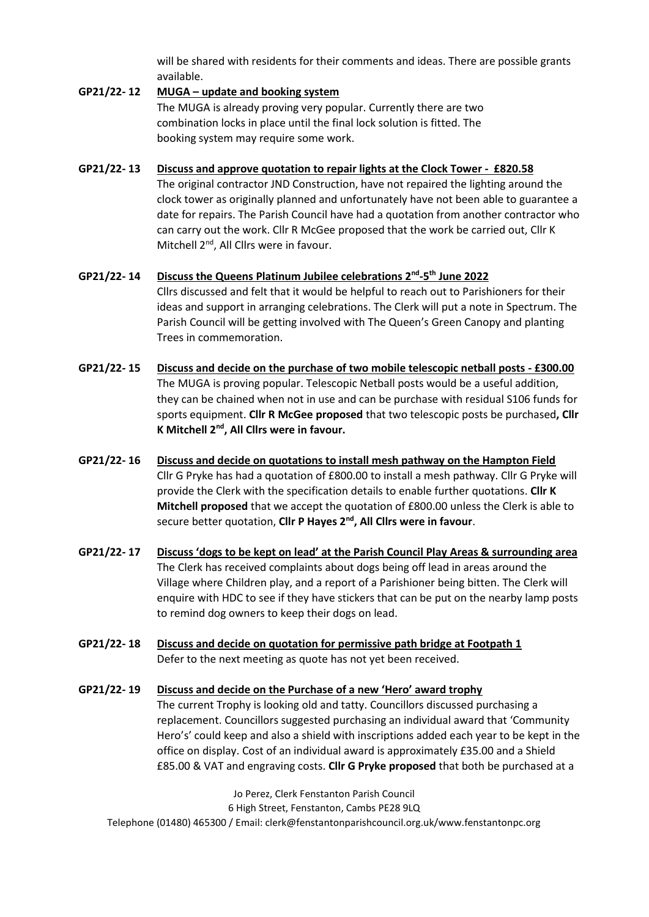will be shared with residents for their comments and ideas. There are possible grants available.

#### **GP21/22- 12 MUGA – update and booking system**

The MUGA is already proving very popular. Currently there are two combination locks in place until the final lock solution is fitted. The booking system may require some work.

# **GP21/22- 13 Discuss and approve quotation to repair lights at the Clock Tower - £820.58** The original contractor JND Construction, have not repaired the lighting around the clock tower as originally planned and unfortunately have not been able to guarantee a date for repairs. The Parish Council have had a quotation from another contractor who can carry out the work. Cllr R McGee proposed that the work be carried out, Cllr K Mitchell 2<sup>nd</sup>, All Cllrs were in favour.

# **GP21/22- 14 Discuss the Queens Platinum Jubilee celebrations 2nd -5 th June 2022** Cllrs discussed and felt that it would be helpful to reach out to Parishioners for their ideas and support in arranging celebrations. The Clerk will put a note in Spectrum. The Parish Council will be getting involved with The Queen's Green Canopy and planting Trees in commemoration.

- **GP21/22- 15 Discuss and decide on the purchase of two mobile telescopic netball posts - £300.00** The MUGA is proving popular. Telescopic Netball posts would be a useful addition, they can be chained when not in use and can be purchase with residual S106 funds for sports equipment. **Cllr R McGee proposed** that two telescopic posts be purchased**, Cllr K Mitchell 2nd, All Cllrs were in favour.**
- **GP21/22- 16 Discuss and decide on quotations to install mesh pathway on the Hampton Field** Cllr G Pryke has had a quotation of £800.00 to install a mesh pathway. Cllr G Pryke will provide the Clerk with the specification details to enable further quotations. **Cllr K Mitchell proposed** that we accept the quotation of £800.00 unless the Clerk is able to secure better quotation, **Cllr P Hayes 2nd, All Cllrs were in favour**.
- **GP21/22- 17 Discuss 'dogs to be kept on lead' at the Parish Council Play Areas & surrounding area** The Clerk has received complaints about dogs being off lead in areas around the Village where Children play, and a report of a Parishioner being bitten. The Clerk will enquire with HDC to see if they have stickers that can be put on the nearby lamp posts to remind dog owners to keep their dogs on lead.
- **GP21/22- 18 Discuss and decide on quotation for permissive path bridge at Footpath 1** Defer to the next meeting as quote has not yet been received.

# **GP21/22- 19 Discuss and decide on the Purchase of a new 'Hero' award trophy** The current Trophy is looking old and tatty. Councillors discussed purchasing a replacement. Councillors suggested purchasing an individual award that 'Community Hero's' could keep and also a shield with inscriptions added each year to be kept in the office on display. Cost of an individual award is approximately £35.00 and a Shield £85.00 & VAT and engraving costs. **Cllr G Pryke proposed** that both be purchased at a

Jo Perez, Clerk Fenstanton Parish Council 6 High Street, Fenstanton, Cambs PE28 9LQ Telephone (01480) 465300 / Email: clerk@fenstantonparishcouncil.org.uk/www.fenstantonpc.org